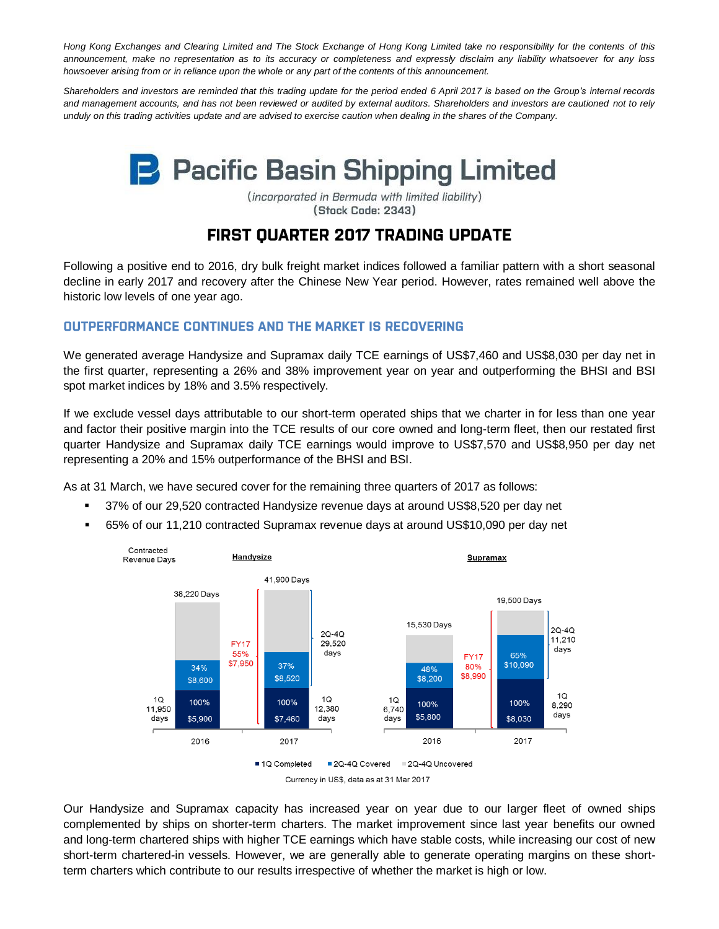*Hong Kong Exchanges and Clearing Limited and The Stock Exchange of Hong Kong Limited take no responsibility for the contents of this announcement, make no representation as to its accuracy or completeness and expressly disclaim any liability whatsoever for any loss howsoever arising from or in reliance upon the whole or any part of the contents of this announcement.*

*Shareholders and investors are reminded that this trading update for the period ended 6 April 2017 is based on the Group's internal records and management accounts, and has not been reviewed or audited by external auditors. Shareholders and investors are cautioned not to rely unduly on this trading activities update and are advised to exercise caution when dealing in the shares of the Company.*

# **P** Pacific Basin Shipping Limited

(incorporated in Bermuda with limited liability) (Stock Code: 2343)

# **FIRST OUARTER 2017 TRADING UPDATE**

Following a positive end to 2016, dry bulk freight market indices followed a familiar pattern with a short seasonal decline in early 2017 and recovery after the Chinese New Year period. However, rates remained well above the historic low levels of one year ago.

# **OUTPERFORMANCE CONTINUES AND THE MARKET IS RECOVERING**

We generated average Handysize and Supramax daily TCE earnings of US\$7,460 and US\$8,030 per day net in the first quarter, representing a 26% and 38% improvement year on year and outperforming the BHSI and BSI spot market indices by 18% and 3.5% respectively.

If we exclude vessel days attributable to our short-term operated ships that we charter in for less than one year and factor their positive margin into the TCE results of our core owned and long-term fleet, then our restated first quarter Handysize and Supramax daily TCE earnings would improve to US\$7,570 and US\$8,950 per day net representing a 20% and 15% outperformance of the BHSI and BSI.

As at 31 March, we have secured cover for the remaining three quarters of 2017 as follows:

- 37% of our 29,520 contracted Handysize revenue days at around US\$8,520 per day net
- 65% of our 11,210 contracted Supramax revenue days at around US\$10,090 per day net



Our Handysize and Supramax capacity has increased year on year due to our larger fleet of owned ships complemented by ships on shorter-term charters. The market improvement since last year benefits our owned and long-term chartered ships with higher TCE earnings which have stable costs, while increasing our cost of new short-term chartered-in vessels. However, we are generally able to generate operating margins on these shortterm charters which contribute to our results irrespective of whether the market is high or low.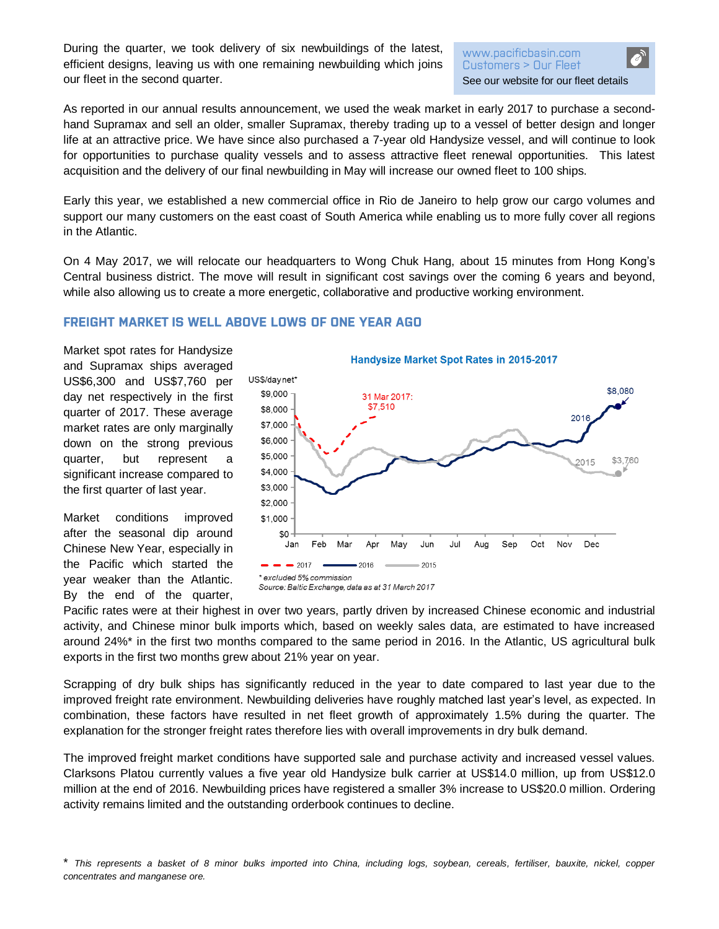During the quarter, we took delivery of six newbuildings of the latest, efficient designs, leaving us with one remaining newbuilding which joins our fleet in the second quarter.

#### www.pacificbasin.com Customers > Our Fleet [See our website for our fleet details](http://www.pacificbasin.com/en/customers/fleet.php)

As reported in our annual results announcement, we used the weak market in early 2017 to purchase a secondhand Supramax and sell an older, smaller Supramax, thereby trading up to a vessel of better design and longer life at an attractive price. We have since also purchased a 7-year old Handysize vessel, and will continue to look for opportunities to purchase quality vessels and to assess attractive fleet renewal opportunities. This latest acquisition and the delivery of our final newbuilding in May will increase our owned fleet to 100 ships.

Early this year, we established a new commercial office in Rio de Janeiro to help grow our cargo volumes and support our many customers on the east coast of South America while enabling us to more fully cover all regions in the Atlantic.

On 4 May 2017, we will relocate our headquarters to Wong Chuk Hang, about 15 minutes from Hong Kong's Central business district. The move will result in significant cost savings over the coming 6 years and beyond, while also allowing us to create a more energetic, collaborative and productive working environment.

## **FREIGHT MARKET IS WELL ABOVE LOWS OF ONE YEAR AGO**

Market spot rates for Handysize and Supramax ships averaged US\$6,300 and US\$7,760 per day net respectively in the first quarter of 2017. These average market rates are only marginally down on the strong previous quarter, but represent a significant increase compared to the first quarter of last year.

Market conditions improved after the seasonal dip around Chinese New Year, especially in the Pacific which started the year weaker than the Atlantic. By the end of the quarter,



Pacific rates were at their highest in over two years, partly driven by increased Chinese economic and industrial activity, and Chinese minor bulk imports which, based on weekly sales data, are estimated to have increased around 24%\* in the first two months compared to the same period in 2016. In the Atlantic, US agricultural bulk exports in the first two months grew about 21% year on year.

Scrapping of dry bulk ships has significantly reduced in the year to date compared to last year due to the improved freight rate environment. Newbuilding deliveries have roughly matched last year's level, as expected. In combination, these factors have resulted in net fleet growth of approximately 1.5% during the quarter. The explanation for the stronger freight rates therefore lies with overall improvements in dry bulk demand.

The improved freight market conditions have supported sale and purchase activity and increased vessel values. Clarksons Platou currently values a five year old Handysize bulk carrier at US\$14.0 million, up from US\$12.0 million at the end of 2016. Newbuilding prices have registered a smaller 3% increase to US\$20.0 million. Ordering activity remains limited and the outstanding orderbook continues to decline.

<sup>\*</sup> *This represents a basket of 8 minor bulks imported into China, including logs, soybean, cereals, fertiliser, bauxite, nickel, copper concentrates and manganese ore.*